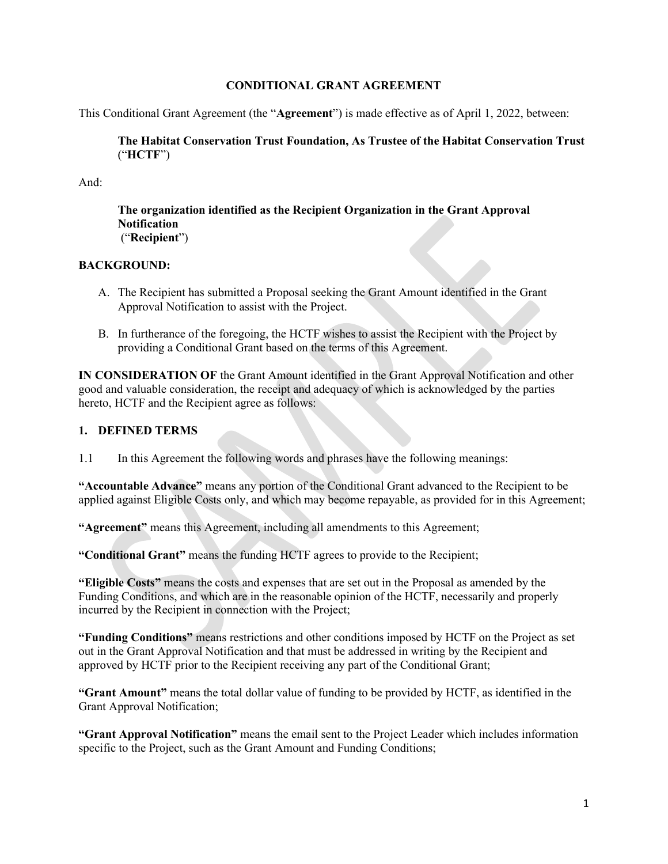#### CONDITIONAL GRANT AGREEMENT

This Conditional Grant Agreement (the "Agreement") is made effective as of April 1, 2022, between:

The Habitat Conservation Trust Foundation, As Trustee of the Habitat Conservation Trust ("HCTF")

And:

The organization identified as the Recipient Organization in the Grant Approval **Notification** ("Recipient")

#### BACKGROUND:

- A. The Recipient has submitted a Proposal seeking the Grant Amount identified in the Grant Approval Notification to assist with the Project.
- B. In furtherance of the foregoing, the HCTF wishes to assist the Recipient with the Project by providing a Conditional Grant based on the terms of this Agreement.

IN CONSIDERATION OF the Grant Amount identified in the Grant Approval Notification and other good and valuable consideration, the receipt and adequacy of which is acknowledged by the parties hereto, HCTF and the Recipient agree as follows:

# 1. DEFINED TERMS

1.1 In this Agreement the following words and phrases have the following meanings:

"Accountable Advance" means any portion of the Conditional Grant advanced to the Recipient to be applied against Eligible Costs only, and which may become repayable, as provided for in this Agreement;

"Agreement" means this Agreement, including all amendments to this Agreement;

"Conditional Grant" means the funding HCTF agrees to provide to the Recipient;

"Eligible Costs" means the costs and expenses that are set out in the Proposal as amended by the Funding Conditions, and which are in the reasonable opinion of the HCTF, necessarily and properly incurred by the Recipient in connection with the Project;

"Funding Conditions" means restrictions and other conditions imposed by HCTF on the Project as set out in the Grant Approval Notification and that must be addressed in writing by the Recipient and approved by HCTF prior to the Recipient receiving any part of the Conditional Grant;

"Grant Amount" means the total dollar value of funding to be provided by HCTF, as identified in the Grant Approval Notification;

"Grant Approval Notification" means the email sent to the Project Leader which includes information specific to the Project, such as the Grant Amount and Funding Conditions;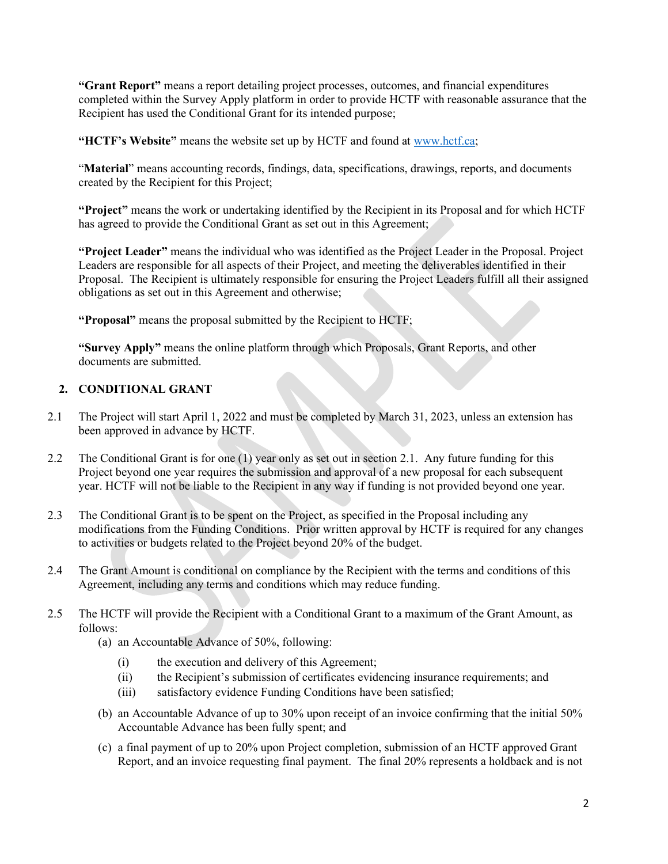"Grant Report" means a report detailing project processes, outcomes, and financial expenditures completed within the Survey Apply platform in order to provide HCTF with reasonable assurance that the Recipient has used the Conditional Grant for its intended purpose;

"HCTF's Website" means the website set up by HCTF and found at www.hctf.ca;

"Material" means accounting records, findings, data, specifications, drawings, reports, and documents created by the Recipient for this Project;

"Project" means the work or undertaking identified by the Recipient in its Proposal and for which HCTF has agreed to provide the Conditional Grant as set out in this Agreement;

"Project Leader" means the individual who was identified as the Project Leader in the Proposal. Project Leaders are responsible for all aspects of their Project, and meeting the deliverables identified in their Proposal. The Recipient is ultimately responsible for ensuring the Project Leaders fulfill all their assigned obligations as set out in this Agreement and otherwise;

"Proposal" means the proposal submitted by the Recipient to HCTF;

"Survey Apply" means the online platform through which Proposals, Grant Reports, and other documents are submitted.

### 2. CONDITIONAL GRANT

- 2.1 The Project will start April 1, 2022 and must be completed by March 31, 2023, unless an extension has been approved in advance by HCTF.
- 2.2 The Conditional Grant is for one (1) year only as set out in section 2.1. Any future funding for this Project beyond one year requires the submission and approval of a new proposal for each subsequent year. HCTF will not be liable to the Recipient in any way if funding is not provided beyond one year.
- 2.3 The Conditional Grant is to be spent on the Project, as specified in the Proposal including any modifications from the Funding Conditions. Prior written approval by HCTF is required for any changes to activities or budgets related to the Project beyond 20% of the budget.
- 2.4 The Grant Amount is conditional on compliance by the Recipient with the terms and conditions of this Agreement, including any terms and conditions which may reduce funding.
- 2.5 The HCTF will provide the Recipient with a Conditional Grant to a maximum of the Grant Amount, as follows:
	- (a) an Accountable Advance of 50%, following:
		- (i) the execution and delivery of this Agreement;
		- (ii) the Recipient's submission of certificates evidencing insurance requirements; and
		- (iii) satisfactory evidence Funding Conditions have been satisfied;
	- (b) an Accountable Advance of up to 30% upon receipt of an invoice confirming that the initial 50% Accountable Advance has been fully spent; and
	- (c) a final payment of up to 20% upon Project completion, submission of an HCTF approved Grant Report, and an invoice requesting final payment. The final 20% represents a holdback and is not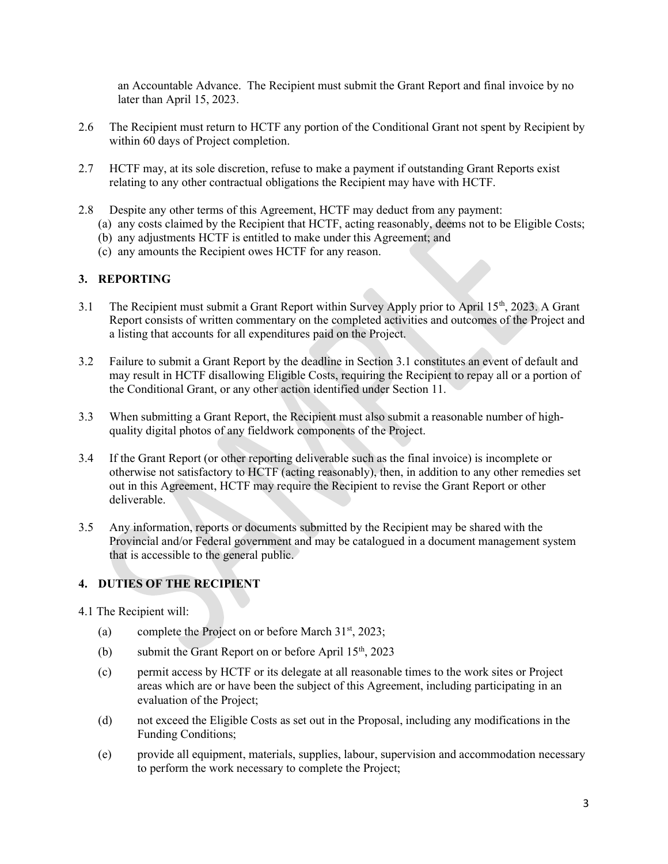an Accountable Advance. The Recipient must submit the Grant Report and final invoice by no later than April 15, 2023.

- 2.6 The Recipient must return to HCTF any portion of the Conditional Grant not spent by Recipient by within 60 days of Project completion.
- 2.7 HCTF may, at its sole discretion, refuse to make a payment if outstanding Grant Reports exist relating to any other contractual obligations the Recipient may have with HCTF.
- 2.8 Despite any other terms of this Agreement, HCTF may deduct from any payment:
	- (a) any costs claimed by the Recipient that HCTF, acting reasonably, deems not to be Eligible Costs;
	- (b) any adjustments HCTF is entitled to make under this Agreement; and
	- (c) any amounts the Recipient owes HCTF for any reason.

### 3. REPORTING

- 3.1 The Recipient must submit a Grant Report within Survey Apply prior to April 15<sup>th</sup>, 2023. A Grant Report consists of written commentary on the completed activities and outcomes of the Project and a listing that accounts for all expenditures paid on the Project.
- 3.2 Failure to submit a Grant Report by the deadline in Section 3.1 constitutes an event of default and may result in HCTF disallowing Eligible Costs, requiring the Recipient to repay all or a portion of the Conditional Grant, or any other action identified under Section 11.
- 3.3 When submitting a Grant Report, the Recipient must also submit a reasonable number of highquality digital photos of any fieldwork components of the Project.
- 3.4 If the Grant Report (or other reporting deliverable such as the final invoice) is incomplete or otherwise not satisfactory to HCTF (acting reasonably), then, in addition to any other remedies set out in this Agreement, HCTF may require the Recipient to revise the Grant Report or other deliverable.
- 3.5 Any information, reports or documents submitted by the Recipient may be shared with the Provincial and/or Federal government and may be catalogued in a document management system that is accessible to the general public.

#### 4. DUTIES OF THE RECIPIENT

- 4.1 The Recipient will:
	- (a) complete the Project on or before March  $31<sup>st</sup>$ , 2023;
	- (b) submit the Grant Report on or before April  $15<sup>th</sup>$ , 2023
	- (c) permit access by HCTF or its delegate at all reasonable times to the work sites or Project areas which are or have been the subject of this Agreement, including participating in an evaluation of the Project;
	- (d) not exceed the Eligible Costs as set out in the Proposal, including any modifications in the Funding Conditions;
	- (e) provide all equipment, materials, supplies, labour, supervision and accommodation necessary to perform the work necessary to complete the Project;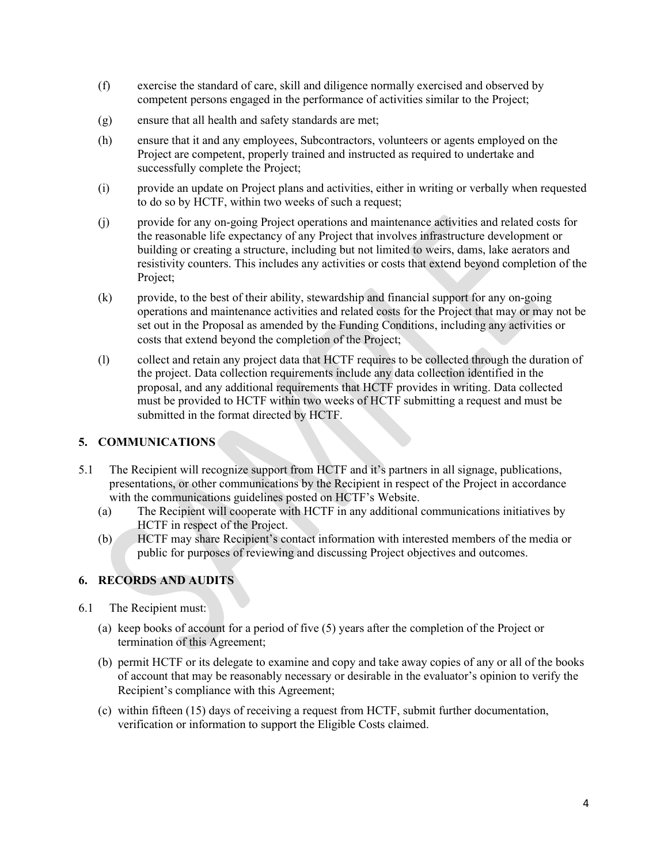- (f) exercise the standard of care, skill and diligence normally exercised and observed by competent persons engaged in the performance of activities similar to the Project;
- (g) ensure that all health and safety standards are met;
- (h) ensure that it and any employees, Subcontractors, volunteers or agents employed on the Project are competent, properly trained and instructed as required to undertake and successfully complete the Project;
- (i) provide an update on Project plans and activities, either in writing or verbally when requested to do so by HCTF, within two weeks of such a request;
- (j) provide for any on-going Project operations and maintenance activities and related costs for the reasonable life expectancy of any Project that involves infrastructure development or building or creating a structure, including but not limited to weirs, dams, lake aerators and resistivity counters. This includes any activities or costs that extend beyond completion of the Project;
- (k) provide, to the best of their ability, stewardship and financial support for any on-going operations and maintenance activities and related costs for the Project that may or may not be set out in the Proposal as amended by the Funding Conditions, including any activities or costs that extend beyond the completion of the Project;
- (l) collect and retain any project data that HCTF requires to be collected through the duration of the project. Data collection requirements include any data collection identified in the proposal, and any additional requirements that HCTF provides in writing. Data collected must be provided to HCTF within two weeks of HCTF submitting a request and must be submitted in the format directed by HCTF.

# 5. COMMUNICATIONS

- 5.1 The Recipient will recognize support from HCTF and it's partners in all signage, publications, presentations, or other communications by the Recipient in respect of the Project in accordance with the communications guidelines posted on HCTF's Website.
	- (a) The Recipient will cooperate with HCTF in any additional communications initiatives by HCTF in respect of the Project.
	- (b) HCTF may share Recipient's contact information with interested members of the media or public for purposes of reviewing and discussing Project objectives and outcomes.

#### 6. RECORDS AND AUDITS

- 6.1 The Recipient must:
	- (a) keep books of account for a period of five (5) years after the completion of the Project or termination of this Agreement;
	- (b) permit HCTF or its delegate to examine and copy and take away copies of any or all of the books of account that may be reasonably necessary or desirable in the evaluator's opinion to verify the Recipient's compliance with this Agreement;
	- (c) within fifteen (15) days of receiving a request from HCTF, submit further documentation, verification or information to support the Eligible Costs claimed.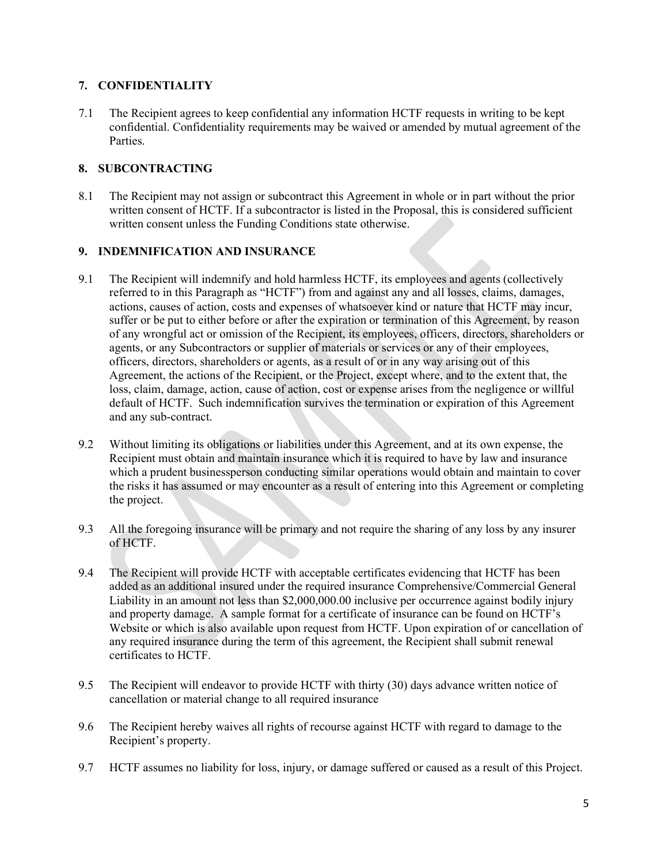### 7. CONFIDENTIALITY

7.1 The Recipient agrees to keep confidential any information HCTF requests in writing to be kept confidential. Confidentiality requirements may be waived or amended by mutual agreement of the Parties.

# 8. SUBCONTRACTING

8.1 The Recipient may not assign or subcontract this Agreement in whole or in part without the prior written consent of HCTF. If a subcontractor is listed in the Proposal, this is considered sufficient written consent unless the Funding Conditions state otherwise.

### 9. INDEMNIFICATION AND INSURANCE

- 9.1 The Recipient will indemnify and hold harmless HCTF, its employees and agents (collectively referred to in this Paragraph as "HCTF") from and against any and all losses, claims, damages, actions, causes of action, costs and expenses of whatsoever kind or nature that HCTF may incur, suffer or be put to either before or after the expiration or termination of this Agreement, by reason of any wrongful act or omission of the Recipient, its employees, officers, directors, shareholders or agents, or any Subcontractors or supplier of materials or services or any of their employees, officers, directors, shareholders or agents, as a result of or in any way arising out of this Agreement, the actions of the Recipient, or the Project, except where, and to the extent that, the loss, claim, damage, action, cause of action, cost or expense arises from the negligence or willful default of HCTF. Such indemnification survives the termination or expiration of this Agreement and any sub-contract.
- 9.2 Without limiting its obligations or liabilities under this Agreement, and at its own expense, the Recipient must obtain and maintain insurance which it is required to have by law and insurance which a prudent businessperson conducting similar operations would obtain and maintain to cover the risks it has assumed or may encounter as a result of entering into this Agreement or completing the project.
- 9.3 All the foregoing insurance will be primary and not require the sharing of any loss by any insurer of HCTF.
- 9.4 The Recipient will provide HCTF with acceptable certificates evidencing that HCTF has been added as an additional insured under the required insurance Comprehensive/Commercial General Liability in an amount not less than \$2,000,000.00 inclusive per occurrence against bodily injury and property damage. A sample format for a certificate of insurance can be found on HCTF's Website or which is also available upon request from HCTF. Upon expiration of or cancellation of any required insurance during the term of this agreement, the Recipient shall submit renewal certificates to HCTF.
- 9.5 The Recipient will endeavor to provide HCTF with thirty (30) days advance written notice of cancellation or material change to all required insurance
- 9.6 The Recipient hereby waives all rights of recourse against HCTF with regard to damage to the Recipient's property.
- 9.7 HCTF assumes no liability for loss, injury, or damage suffered or caused as a result of this Project.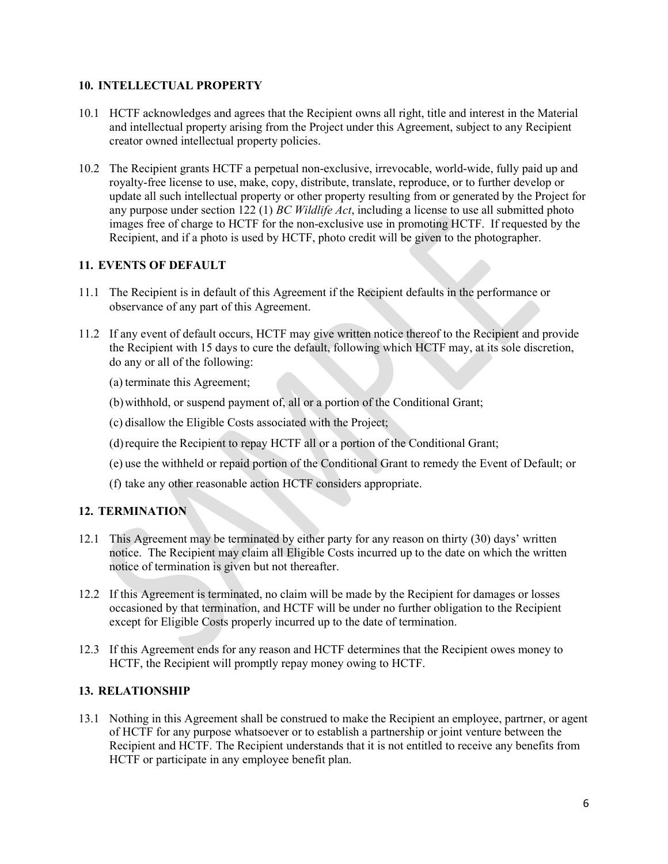### 10. INTELLECTUAL PROPERTY

- 10.1 HCTF acknowledges and agrees that the Recipient owns all right, title and interest in the Material and intellectual property arising from the Project under this Agreement, subject to any Recipient creator owned intellectual property policies.
- 10.2 The Recipient grants HCTF a perpetual non-exclusive, irrevocable, world-wide, fully paid up and royalty-free license to use, make, copy, distribute, translate, reproduce, or to further develop or update all such intellectual property or other property resulting from or generated by the Project for any purpose under section 122 (1) BC Wildlife Act, including a license to use all submitted photo images free of charge to HCTF for the non-exclusive use in promoting HCTF. If requested by the Recipient, and if a photo is used by HCTF, photo credit will be given to the photographer.

### 11. EVENTS OF DEFAULT

- 11.1 The Recipient is in default of this Agreement if the Recipient defaults in the performance or observance of any part of this Agreement.
- 11.2 If any event of default occurs, HCTF may give written notice thereof to the Recipient and provide the Recipient with 15 days to cure the default, following which HCTF may, at its sole discretion, do any or all of the following:
	- (a) terminate this Agreement;
	- (b)withhold, or suspend payment of, all or a portion of the Conditional Grant;
	- (c) disallow the Eligible Costs associated with the Project;
	- (d)require the Recipient to repay HCTF all or a portion of the Conditional Grant;
	- (e) use the withheld or repaid portion of the Conditional Grant to remedy the Event of Default; or
	- (f) take any other reasonable action HCTF considers appropriate.

# 12. TERMINATION

- 12.1 This Agreement may be terminated by either party for any reason on thirty (30) days' written notice. The Recipient may claim all Eligible Costs incurred up to the date on which the written notice of termination is given but not thereafter.
- 12.2 If this Agreement is terminated, no claim will be made by the Recipient for damages or losses occasioned by that termination, and HCTF will be under no further obligation to the Recipient except for Eligible Costs properly incurred up to the date of termination.
- 12.3 If this Agreement ends for any reason and HCTF determines that the Recipient owes money to HCTF, the Recipient will promptly repay money owing to HCTF.

# 13. RELATIONSHIP

13.1 Nothing in this Agreement shall be construed to make the Recipient an employee, partrner, or agent of HCTF for any purpose whatsoever or to establish a partnership or joint venture between the Recipient and HCTF. The Recipient understands that it is not entitled to receive any benefits from HCTF or participate in any employee benefit plan.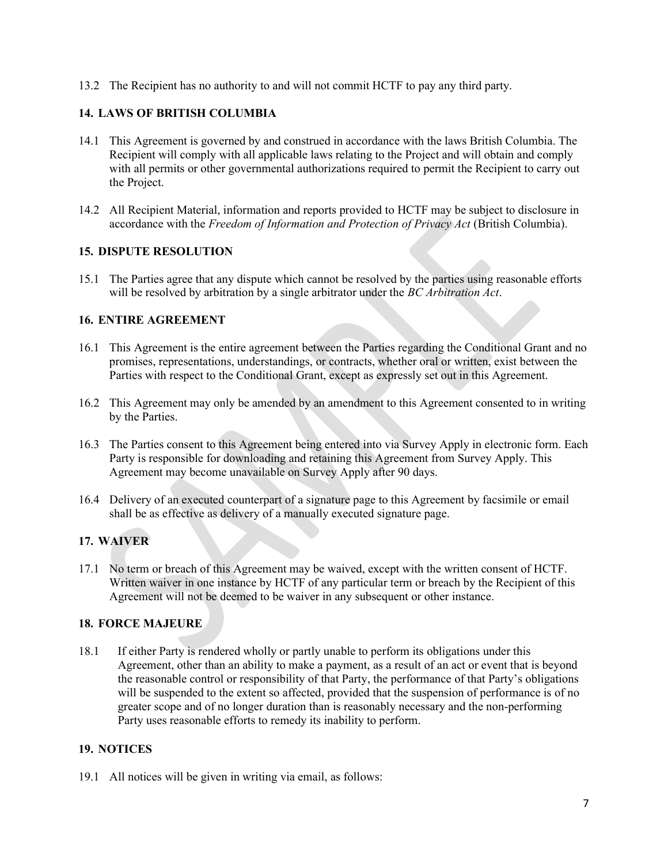13.2 The Recipient has no authority to and will not commit HCTF to pay any third party.

# 14. LAWS OF BRITISH COLUMBIA

- 14.1 This Agreement is governed by and construed in accordance with the laws British Columbia. The Recipient will comply with all applicable laws relating to the Project and will obtain and comply with all permits or other governmental authorizations required to permit the Recipient to carry out the Project.
- 14.2 All Recipient Material, information and reports provided to HCTF may be subject to disclosure in accordance with the Freedom of Information and Protection of Privacy Act (British Columbia).

# 15. DISPUTE RESOLUTION

15.1 The Parties agree that any dispute which cannot be resolved by the parties using reasonable efforts will be resolved by arbitration by a single arbitrator under the BC Arbitration Act.

# 16. ENTIRE AGREEMENT

- 16.1 This Agreement is the entire agreement between the Parties regarding the Conditional Grant and no promises, representations, understandings, or contracts, whether oral or written, exist between the Parties with respect to the Conditional Grant, except as expressly set out in this Agreement.
- 16.2 This Agreement may only be amended by an amendment to this Agreement consented to in writing by the Parties.
- 16.3 The Parties consent to this Agreement being entered into via Survey Apply in electronic form. Each Party is responsible for downloading and retaining this Agreement from Survey Apply. This Agreement may become unavailable on Survey Apply after 90 days.
- 16.4 Delivery of an executed counterpart of a signature page to this Agreement by facsimile or email shall be as effective as delivery of a manually executed signature page.

# 17. WAIVER

17.1 No term or breach of this Agreement may be waived, except with the written consent of HCTF. Written waiver in one instance by HCTF of any particular term or breach by the Recipient of this Agreement will not be deemed to be waiver in any subsequent or other instance.

# 18. FORCE MAJEURE

18.1 If either Party is rendered wholly or partly unable to perform its obligations under this Agreement, other than an ability to make a payment, as a result of an act or event that is beyond the reasonable control or responsibility of that Party, the performance of that Party's obligations will be suspended to the extent so affected, provided that the suspension of performance is of no greater scope and of no longer duration than is reasonably necessary and the non-performing Party uses reasonable efforts to remedy its inability to perform.

#### 19. NOTICES

19.1 All notices will be given in writing via email, as follows: